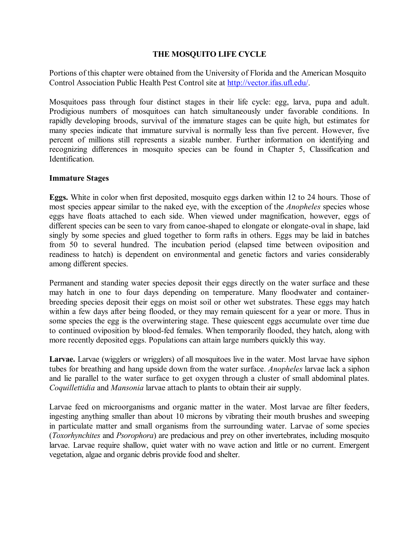## **THE MOSQUITO LIFE CYCLE**

Portions of this chapter were obtained from the University of Florida and the American Mosquito Control Association Public Health Pest Control site at<http://vector.ifas.ufl.edu/>.

Mosquitoes pass through four distinct stages in their life cycle: egg, larva, pupa and adult. Prodigious numbers of mosquitoes can hatch simultaneously under favorable conditions. In rapidly developing broods, survival of the immature stages can be quite high, but estimates for many species indicate that immature survival is normally less than five percent. However, five percent of millions still represents a sizable number. Further information on identifying and recognizing differences in mosquito species can be found in Chapter 5, Classification and Identification.

## **Immature Stages**

**Eggs.** White in color when first deposited, mosquito eggs darken within 12 to 24 hours. Those of most species appear similar to the naked eye, with the exception of the *Anopheles* species whose eggs have floats attached to each side. When viewed under magnification, however, eggs of different species can be seen to vary from canoe-shaped to elongate or elongate-oval in shape, laid singly by some species and glued together to form rafts in others. Eggs may be laid in batches from 50 to several hundred. The incubation period (elapsed time between oviposition and readiness to hatch) is dependent on environmental and genetic factors and varies considerably among different species.

Permanent and standing water species deposit their eggs directly on the water surface and these may hatch in one to four days depending on temperature. Many floodwater and containerbreeding species deposit their eggs on moist soil or other wet substrates. These eggs may hatch within a few days after being flooded, or they may remain quiescent for a year or more. Thus in some species the egg is the overwintering stage. These quiescent eggs accumulate over time due to continued oviposition by blood-fed females. When temporarily flooded, they hatch, along with more recently deposited eggs. Populations can attain large numbers quickly this way.

**Larvae.** Larvae (wigglers or wrigglers) of all mosquitoes live in the water. Most larvae have siphon tubes for breathing and hang upside down from the water surface. *Anopheles* larvae lack a siphon and lie parallel to the water surface to get oxygen through a cluster of small abdominal plates. *Coquillettidia* and *Mansonia* larvae attach to plants to obtain their air supply.

Larvae feed on microorganisms and organic matter in the water. Most larvae are filter feeders, ingesting anything smaller than about 10 microns by vibrating their mouth brushes and sweeping in particulate matter and small organisms from the surrounding water. Larvae of some species (*Toxorhynchites* and *Psorophora*) are predacious and prey on other invertebrates, including mosquito larvae. Larvae require shallow, quiet water with no wave action and little or no current. Emergent vegetation, algae and organic debris provide food and shelter.